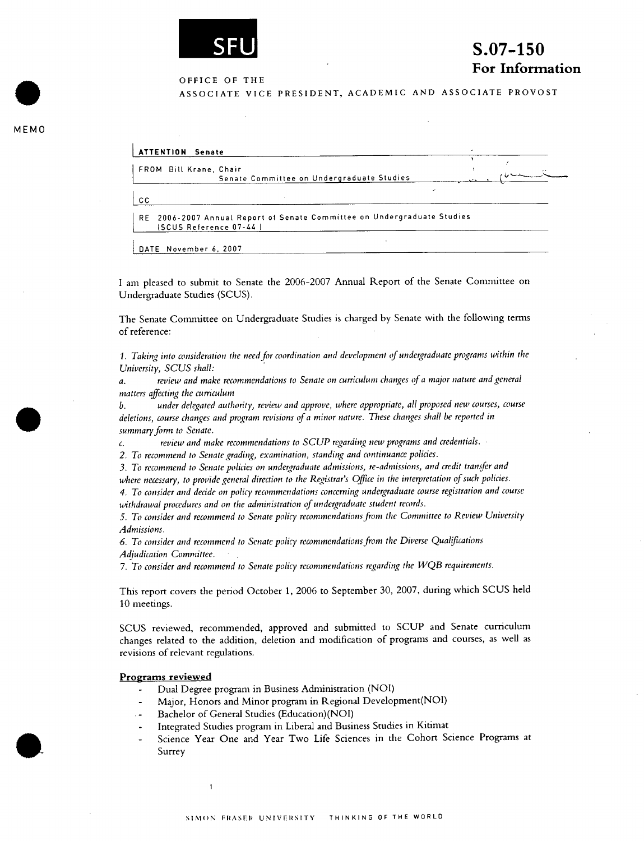

# **S.07-150 For Information**

OFFICE OF THE

ASSOCIATE VICE PRESIDENT, ACADEMIC AND ASSOCIATE PROVOST

**ATTENTION Senate** FROM Bill Krane, Chair Senate Committee on Undergraduate Studies I CC RE 2006-2007 Annual. Report of Senate Committee on Undergraduate Studies ISCUS Reference 07-44 1

DATE November 6, 2007

**MEMO** 

.

 $\bullet$ 

I am pleased to submit to Senate the 2006-2007 Annual Report of the Senate Conmiittee on Undergraduate Studies (SCUS).

The Senate Committee on Undergraduate Studies is charged by Senate with the following terms of reference:

*1. Taking into consideration the need for coordination and development of undergraduate programs within the University, SCUS shall:* 

*a. review and make recommendations to Senate on curriculum changes of a major nature and general matters affecting the curriculum* 

*b. under delegated authority, review and approve, where appropriate, all proposed new courses, course deletions, course changes and program revisions of a minor nature. These changes shall be reported in summary form to Senate.* 

C. *review and make recommendations to SCUP regarding new programs and credentials.* 

*2. To recommend to Senate grading, examination, standing and continuance policies.* 

*3. To recommend to Senate policies on undergraduate admissions, re-admissions, and credit transfer and where necessary, to provide general direction to the Registrar's Office in the interpretation of such policies.* 

*4. To consider and decide on policy recommendations concerning undergraduate course registration and course withdrawal procedures and on the administration qf undergraduate student records.* 

*5. To consider and recommend to Senate policy recommendations from the Committee to Review University Admissions.* 

*•6. To consider and recommend to Senate policy recommendations from the Diverse Qualifications Adjudication Committee.* 

*7. To consider and recommend to Senate policy recommendations regarding the WQB requirements.* 

This report covers the period October 1, 2006 to September 30, 2007, during which SCUS held 10 meetings.

SCUS reviewed, recommended, approved and submitted to SCUP and Senate curriculum changes related to the addition, deletion and modification of programs and courses, as well as revisions of relevant regulations.

#### **Programs reviewed**

- Dual Degree program in Business Administration (NOI)
- Major, Honors and Minor program in Regional Development(NOI)
- - Bachelor of General Studies (Education)(NOI)
- Integrated Studies program in Liberal and Business Studies in Kitimat
- Science Year One and Year Two Life Sciences in the Cohort Science Programs at Surrey

 $\mathbf{1}$